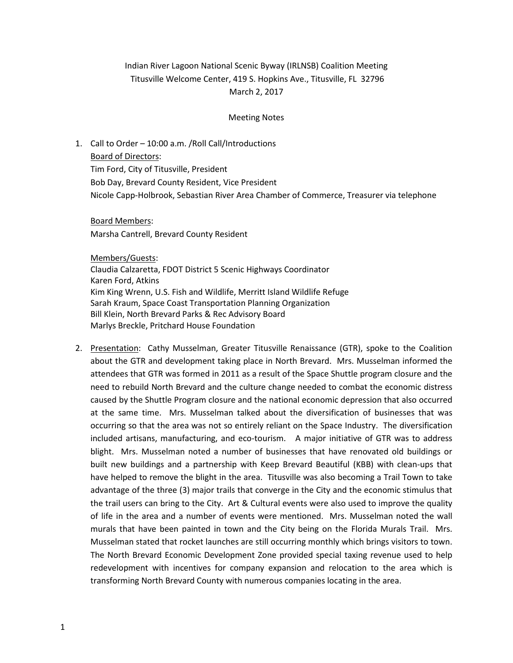# Indian River Lagoon National Scenic Byway (IRLNSB) Coalition Meeting Titusville Welcome Center, 419 S. Hopkins Ave., Titusville, FL 32796 March 2, 2017

#### Meeting Notes

# 1. Call to Order – 10:00 a.m. /Roll Call/Introductions

Board of Directors:

Tim Ford, City of Titusville, President Bob Day, Brevard County Resident, Vice President Nicole Capp-Holbrook, Sebastian River Area Chamber of Commerce, Treasurer via telephone

Board Members: Marsha Cantrell, Brevard County Resident

Members/Guests: Claudia Calzaretta, FDOT District 5 Scenic Highways Coordinator Karen Ford, Atkins Kim King Wrenn, U.S. Fish and Wildlife, Merritt Island Wildlife Refuge Sarah Kraum, Space Coast Transportation Planning Organization Bill Klein, North Brevard Parks & Rec Advisory Board Marlys Breckle, Pritchard House Foundation

2. Presentation: Cathy Musselman, Greater Titusville Renaissance (GTR), spoke to the Coalition about the GTR and development taking place in North Brevard. Mrs. Musselman informed the attendees that GTR was formed in 2011 as a result of the Space Shuttle program closure and the need to rebuild North Brevard and the culture change needed to combat the economic distress caused by the Shuttle Program closure and the national economic depression that also occurred at the same time. Mrs. Musselman talked about the diversification of businesses that was occurring so that the area was not so entirely reliant on the Space Industry. The diversification included artisans, manufacturing, and eco-tourism. A major initiative of GTR was to address blight. Mrs. Musselman noted a number of businesses that have renovated old buildings or built new buildings and a partnership with Keep Brevard Beautiful (KBB) with clean-ups that have helped to remove the blight in the area. Titusville was also becoming a Trail Town to take advantage of the three (3) major trails that converge in the City and the economic stimulus that the trail users can bring to the City. Art & Cultural events were also used to improve the quality of life in the area and a number of events were mentioned. Mrs. Musselman noted the wall murals that have been painted in town and the City being on the Florida Murals Trail. Mrs. Musselman stated that rocket launches are still occurring monthly which brings visitors to town. The North Brevard Economic Development Zone provided special taxing revenue used to help redevelopment with incentives for company expansion and relocation to the area which is transforming North Brevard County with numerous companies locating in the area.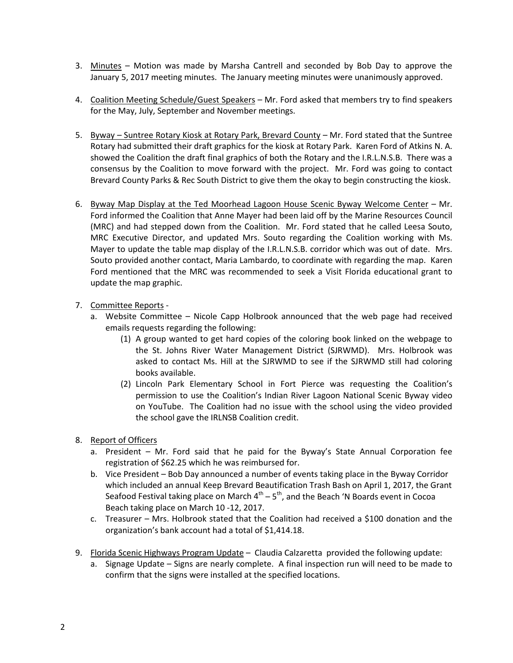- 3. Minutes Motion was made by Marsha Cantrell and seconded by Bob Day to approve the January 5, 2017 meeting minutes. The January meeting minutes were unanimously approved.
- 4. Coalition Meeting Schedule/Guest Speakers Mr. Ford asked that members try to find speakers for the May, July, September and November meetings.
- 5. Byway Suntree Rotary Kiosk at Rotary Park, Brevard County Mr. Ford stated that the Suntree Rotary had submitted their draft graphics for the kiosk at Rotary Park. Karen Ford of Atkins N. A. showed the Coalition the draft final graphics of both the Rotary and the I.R.L.N.S.B. There was a consensus by the Coalition to move forward with the project. Mr. Ford was going to contact Brevard County Parks & Rec South District to give them the okay to begin constructing the kiosk.
- 6. Byway Map Display at the Ted Moorhead Lagoon House Scenic Byway Welcome Center Mr. Ford informed the Coalition that Anne Mayer had been laid off by the Marine Resources Council (MRC) and had stepped down from the Coalition. Mr. Ford stated that he called Leesa Souto, MRC Executive Director, and updated Mrs. Souto regarding the Coalition working with Ms. Mayer to update the table map display of the I.R.L.N.S.B. corridor which was out of date. Mrs. Souto provided another contact, Maria Lambardo, to coordinate with regarding the map. Karen Ford mentioned that the MRC was recommended to seek a Visit Florida educational grant to update the map graphic.

## 7. Committee Reports -

- a. Website Committee Nicole Capp Holbrook announced that the web page had received emails requests regarding the following:
	- (1) A group wanted to get hard copies of the coloring book linked on the webpage to the St. Johns River Water Management District (SJRWMD). Mrs. Holbrook was asked to contact Ms. Hill at the SJRWMD to see if the SJRWMD still had coloring books available.
	- (2) Lincoln Park Elementary School in Fort Pierce was requesting the Coalition's permission to use the Coalition's Indian River Lagoon National Scenic Byway video on YouTube. The Coalition had no issue with the school using the video provided the school gave the IRLNSB Coalition credit.

## 8. Report of Officers

- a. President Mr. Ford said that he paid for the Byway's State Annual Corporation fee registration of \$62.25 which he was reimbursed for.
- b. Vice President Bob Day announced a number of events taking place in the Byway Corridor which included an annual Keep Brevard Beautification Trash Bash on April 1, 2017, the Grant Seafood Festival taking place on March  $4^{th}$  –  $5^{th}$ , and the Beach 'N Boards event in Cocoa Beach taking place on March 10 -12, 2017.
- c. Treasurer Mrs. Holbrook stated that the Coalition had received a \$100 donation and the organization's bank account had a total of \$1,414.18.
- 9. Florida Scenic Highways Program Update Claudia Calzaretta provided the following update:
	- a. Signage Update Signs are nearly complete. A final inspection run will need to be made to confirm that the signs were installed at the specified locations.